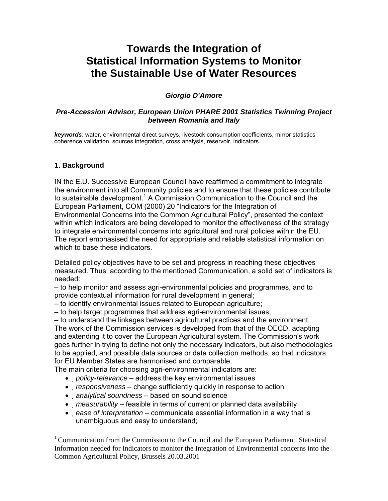# **Towards the Integration of Statistical Information Systems to Monitor the Sustainable Use of Water Resources**

# *Giorgio D'Amore*

# *Pre-Accession Advisor, European Union PHARE 2001 Statistics Twinning Project between Romania and Italy*

*keywords*: water, environmental direct surveys, livestock consumption coefficients, mirror statistics coherence validation, sources integration, cross analysis, reservoir, indicators.

# **1. Background**

-

IN the E.U. Successive European Council have reaffirmed a commitment to integrate the environment into all Community policies and to ensure that these policies contribute to sustainable development.<sup>1</sup> A Commission Communication to the Council and the European Parliament, COM (2000) 20 "Indicators for the Integration of Environmental Concerns into the Common Agricultural Policy", presented the context within which indicators are being developed to monitor the effectiveness of the strategy to integrate environmental concerns into agricultural and rural policies within the EU. The report emphasised the need for appropriate and reliable statistical information on which to base these indicators.

Detailed policy objectives have to be set and progress in reaching these objectives measured. Thus, according to the mentioned Communication, a solid set of indicators is needed:

– to help monitor and assess agri-environmental policies and programmes, and to provide contextual information for rural development in general;

– to identify environmental issues related to European agriculture;

– to help target programmes that address agri-environmental issues;

– to understand the linkages between agricultural practices and the environment. The work of the Commission services is developed from that of the OECD, adapting and extending it to cover the European Agricultural system. The Commission's work goes further in trying to define not only the necessary indicators, but also methodologies to be applied, and possible data sources or data collection methods, so that indicators for EU Member States are harmonised and comparable.

The main criteria for choosing agri-environmental indicators are:

- *policy-relevance* address the key environmental issues
- *responsiveness* change sufficiently quickly in response to action
- *analytical soundness*  based on sound science
- *measurability* feasible in terms of current or planned data availability
- *ease of interpretation* communicate essential information in a way that is unambiguous and easy to understand;

<sup>&</sup>lt;sup>1</sup> Communication from the Commission to the Council and the European Parliament. Statistical Information needed for Indicators to monitor the Integration of Environmental concerns into the Common Agricultural Policy, Brussels 20.03.2001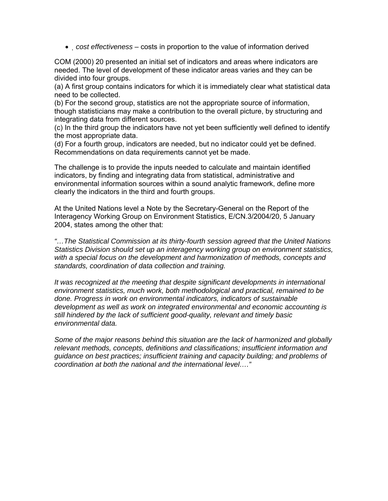• *cost effectiveness* – costs in proportion to the value of information derived

COM (2000) 20 presented an initial set of indicators and areas where indicators are needed. The level of development of these indicator areas varies and they can be divided into four groups.

(a) A first group contains indicators for which it is immediately clear what statistical data need to be collected.

(b) For the second group, statistics are not the appropriate source of information, though statisticians may make a contribution to the overall picture, by structuring and integrating data from different sources.

(c) In the third group the indicators have not yet been sufficiently well defined to identify the most appropriate data.

(d) For a fourth group, indicators are needed, but no indicator could yet be defined. Recommendations on data requirements cannot yet be made.

The challenge is to provide the inputs needed to calculate and maintain identified indicators, by finding and integrating data from statistical, administrative and environmental information sources within a sound analytic framework, define more clearly the indicators in the third and fourth groups.

At the United Nations level a Note by the Secretary-General on the Report of the Interagency Working Group on Environment Statistics, E/CN.3/2004/20, 5 January 2004, states among the other that:

*"…The Statistical Commission at its thirty-fourth session agreed that the United Nations Statistics Division should set up an interagency working group on environment statistics, with a special focus on the development and harmonization of methods, concepts and standards, coordination of data collection and training.* 

*It was recognized at the meeting that despite significant developments in international environment statistics, much work, both methodological and practical, remained to be done. Progress in work on environmental indicators, indicators of sustainable development as well as work on integrated environmental and economic accounting is still hindered by the lack of sufficient good-quality, relevant and timely basic environmental data.* 

*Some of the major reasons behind this situation are the lack of harmonized and globally relevant methods, concepts, definitions and classifications; insufficient information and guidance on best practices; insufficient training and capacity building; and problems of coordination at both the national and the international level…."*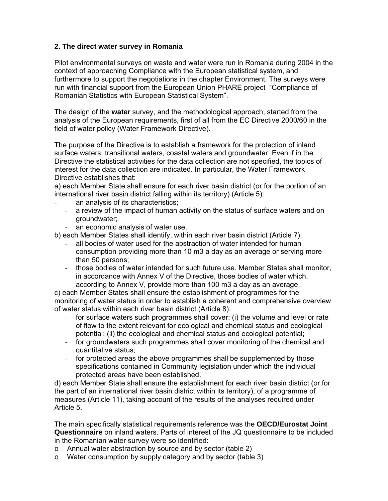# **2. The direct water survey in Romania**

Pilot environmental surveys on waste and water were run in Romania during 2004 in the context of approaching Compliance with the European statistical system, and furthermore to support the negotiations in the chapter Environment. The surveys were run with financial support from the European Union PHARE project "Compliance of Romanian Statistics with European Statistical System".

The design of the **water** survey, and the methodological approach, started from the analysis of the European requirements, first of all from the EC Directive 2000/60 in the field of water policy (Water Framework Directive).

The purpose of the Directive is to establish a framework for the protection of inland surface waters, transitional waters, coastal waters and groundwater. Even if in the Directive the statistical activities for the data collection are not specified, the topics of interest for the data collection are indicated. In particular, the Water Framework Directive establishes that:

a) each Member State shall ensure for each river basin district (or for the portion of an international river basin district falling within its territory) (Article 5):

- an analysis of its characteristics:
	- a review of the impact of human activity on the status of surface waters and on groundwater;
- an economic analysis of water use.

b) each Member States shall identify, within each river basin district (Article 7):

- all bodies of water used for the abstraction of water intended for human consumption providing more than 10 m3 a day as an average or serving more than 50 persons;
- those bodies of water intended for such future use. Member States shall monitor, in accordance with Annex V of the Directive, those bodies of water which, according to Annex V, provide more than 100 m3 a day as an average.

c) each Member States shall ensure the establishment of programmes for the monitoring of water status in order to establish a coherent and comprehensive overview of water status within each river basin district (Article 8):

- for surface waters such programmes shall cover: (i) the volume and level or rate of flow to the extent relevant for ecological and chemical status and ecological potential; (ii) the ecological and chemical status and ecological potential;
- for groundwaters such programmes shall cover monitoring of the chemical and quantitative status;
- for protected areas the above programmes shall be supplemented by those specifications contained in Community legislation under which the individual protected areas have been established.

d) each Member State shall ensure the establishment for each river basin district (or for the part of an international river basin district within its territory), of a programme of measures (Article 11), taking account of the results of the analyses required under Article 5.

The main specifically statistical requirements reference was the **OECD/Eurostat Joint Questionnaire** on inland waters. Parts of interest of the JQ questionnaire to be included in the Romanian water survey were so identified:

- o Annual water abstraction by source and by sector (table 2)
- o Water consumption by supply category and by sector (table 3)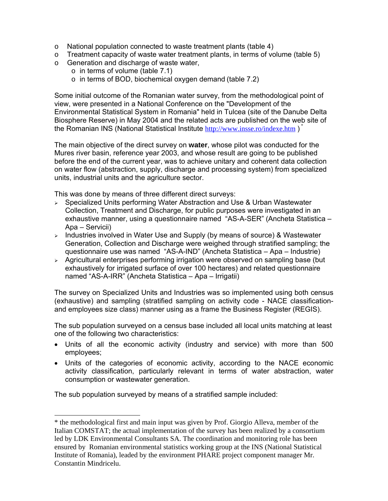- o National population connected to waste treatment plants (table 4)
- $\circ$  Treatment capacity of waste water treatment plants, in terms of volume (table 5)
- o Generation and discharge of waste water,
	- o in terms of volume (table 7.1)
	- o in terms of BOD, biochemical oxygen demand (table 7.2)

Some initial outcome of the Romanian water survey, from the methodological point of view, were presented in a National Conference on the "Development of the Environmental Statistical System in Romania" held in Tulcea (site of the Danube Delta Biosphere Reserve) in May 2004 and the related acts are published on the web site of the Romanian INS (National Statistical Institute http://www.insse.ro/indexe.htm )

The main objective of the direct survey on **water**, whose pilot was conducted for the Mures river basin, reference year 2003, and whose result are going to be published before the end of the current year, was to achieve unitary and coherent data collection on water flow (abstraction, supply, discharge and processing system) from specialized units, industrial units and the agriculture sector.

This was done by means of three different direct surveys:

- $\geq$  Specialized Units performing Water Abstraction and Use & Urban Wastewater Collection, Treatment and Discharge, for public purposes were investigated in an exhaustive manner, using a questionnaire named "AS-A-SER" (Ancheta Statistica – Apa – Servicii)
- $\geq$  Industries involved in Water Use and Supply (by means of source) & Wastewater Generation, Collection and Discharge were weighed through stratified sampling; the questionnaire use was named "AS-A-IND" (Ancheta Statistica – Apa – Industrie)
- <sup>¾</sup> Agricultural enterprises performing irrigation were observed on sampling base (but exhaustively for irrigated surface of over 100 hectares) and related questionnaire named "AS-A-IRR" (Ancheta Statistica – Apa – Irrigatii)

The survey on Specialized Units and Industries was so implemented using both census (exhaustive) and sampling (stratified sampling on activity code - NACE classificationand employees size class) manner using as a frame the Business Register (REGIS).

The sub population surveyed on a census base included all local units matching at least one of the following two characteristics:

- Units of all the economic activity (industry and service) with more than 500 employees;
- Units of the categories of economic activity, according to the NACE economic activity classification, particularly relevant in terms of water abstraction, water consumption or wastewater generation.

The sub population surveyed by means of a stratified sample included:

-

<sup>\*</sup> the methodological first and main input was given by Prof. Giorgio Alleva, member of the Italian COMSTAT; the actual implementation of the survey has been realized by a consortium led by LDK Environmental Consultants SA. The coordination and monitoring role has been ensured by Romanian environmental statistics working group at the INS (National Statistical Institute of Romania), leaded by the environment PHARE project component manager Mr. Constantin Mindricelu.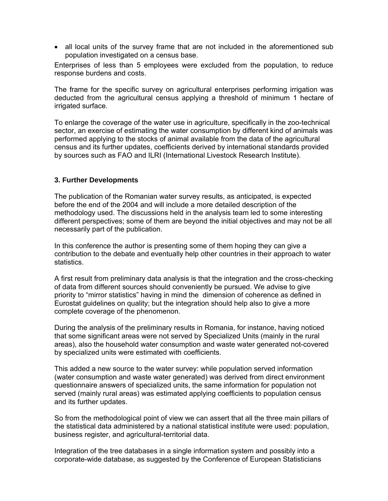• all local units of the survey frame that are not included in the aforementioned sub population investigated on a census base.

Enterprises of less than 5 employees were excluded from the population, to reduce response burdens and costs.

The frame for the specific survey on agricultural enterprises performing irrigation was deducted from the agricultural census applying a threshold of minimum 1 hectare of irrigated surface.

To enlarge the coverage of the water use in agriculture, specifically in the zoo-technical sector, an exercise of estimating the water consumption by different kind of animals was performed applying to the stocks of animal available from the data of the agricultural census and its further updates, coefficients derived by international standards provided by sources such as FAO and ILRI (International Livestock Research Institute).

# **3. Further Developments**

The publication of the Romanian water survey results, as anticipated, is expected before the end of the 2004 and will include a more detailed description of the methodology used. The discussions held in the analysis team led to some interesting different perspectives; some of them are beyond the initial objectives and may not be all necessarily part of the publication.

In this conference the author is presenting some of them hoping they can give a contribution to the debate and eventually help other countries in their approach to water statistics.

A first result from preliminary data analysis is that the integration and the cross-checking of data from different sources should conveniently be pursued. We advise to give priority to "mirror statistics" having in mind the dimension of coherence as defined in Eurostat guidelines on quality; but the integration should help also to give a more complete coverage of the phenomenon.

During the analysis of the preliminary results in Romania, for instance, having noticed that some significant areas were not served by Specialized Units (mainly in the rural areas), also the household water consumption and waste water generated not-covered by specialized units were estimated with coefficients.

This added a new source to the water survey: while population served information (water consumption and waste water generated) was derived from direct environment questionnaire answers of specialized units, the same information for population not served (mainly rural areas) was estimated applying coefficients to population census and its further updates.

So from the methodological point of view we can assert that all the three main pillars of the statistical data administered by a national statistical institute were used: population, business register, and agricultural-territorial data.

Integration of the tree databases in a single information system and possibly into a corporate-wide database, as suggested by the Conference of European Statisticians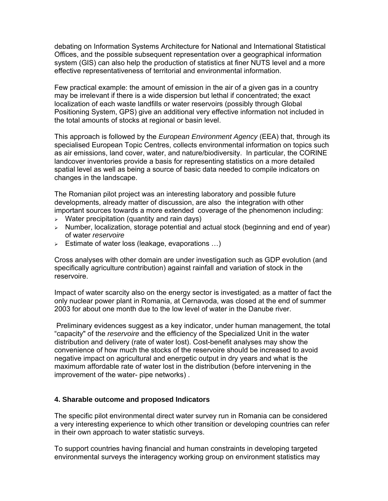debating on Information Systems Architecture for National and International Statistical Offices, and the possible subsequent representation over a geographical information system (GIS) can also help the production of statistics at finer NUTS level and a more effective representativeness of territorial and environmental information.

Few practical example: the amount of emission in the air of a given gas in a country may be irrelevant if there is a wide dispersion but lethal if concentrated; the exact localization of each waste landfills or water reservoirs (possibly through Global Positioning System, GPS) give an additional very effective information not included in the total amounts of stocks at regional or basin level.

This approach is followed by the *European Environment Agency* (EEA) that, through its specialised European Topic Centres, collects environmental information on topics such as air emissions, land cover, water, and nature/biodiversity. In particular, the CORINE landcover inventories provide a basis for representing statistics on a more detailed spatial level as well as being a source of basic data needed to compile indicators on changes in the landscape.

The Romanian pilot project was an interesting laboratory and possible future developments, already matter of discussion, are also the integration with other important sources towards a more extended coverage of the phenomenon including:

- $\triangleright$  Water precipitation (quantity and rain days)
- $\triangleright$  Number, localization, storage potential and actual stock (beginning and end of year) of water *reservoire*
- $\geq$  Estimate of water loss (leakage, evaporations ...)

Cross analyses with other domain are under investigation such as GDP evolution (and specifically agriculture contribution) against rainfall and variation of stock in the reservoire.

Impact of water scarcity also on the energy sector is investigated; as a matter of fact the only nuclear power plant in Romania, at Cernavoda, was closed at the end of summer 2003 for about one month due to the low level of water in the Danube river.

 Preliminary evidences suggest as a key indicator, under human management, the total "capacity" of the *reservoire* and the efficiency of the Specialized Unit in the water distribution and delivery (rate of water lost). Cost-benefit analyses may show the convenience of how much the stocks of the reservoire should be increased to avoid negative impact on agricultural and energetic output in dry years and what is the maximum affordable rate of water lost in the distribution (before intervening in the improvement of the water- pipe networks) .

# **4. Sharable outcome and proposed Indicators**

The specific pilot environmental direct water survey run in Romania can be considered a very interesting experience to which other transition or developing countries can refer in their own approach to water statistic surveys.

To support countries having financial and human constraints in developing targeted environmental surveys the interagency working group on environment statistics may